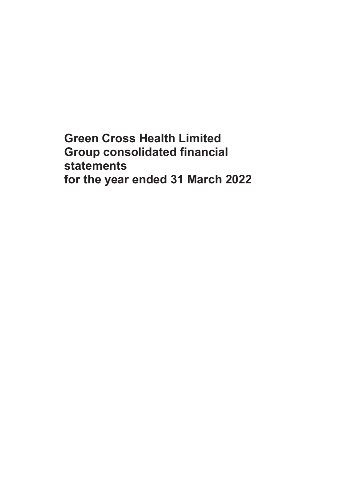**Green Cross Health Limited Group consolidated financial statements for the year ended 31 March 2022**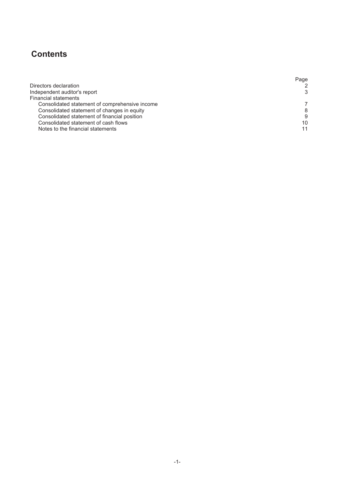# **Contents**

|                                                | Page |
|------------------------------------------------|------|
| Directors declaration                          |      |
| Independent auditor's report                   |      |
| <b>Financial statements</b>                    |      |
| Consolidated statement of comprehensive income |      |
| Consolidated statement of changes in equity    |      |
| Consolidated statement of financial position   | 9    |
| Consolidated statement of cash flows           | 10   |
| Notes to the financial statements              |      |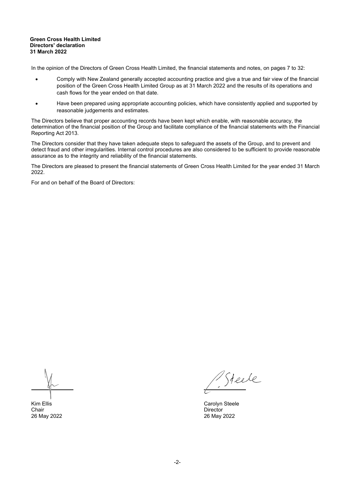#### **Green Cross Health Limited Directors' declaration 31 March 2022**

In the opinion of the Directors of Green Cross Health Limited, the financial statements and notes, on pages 7 to 32:

- Comply with New Zealand generally accepted accounting practice and give a true and fair view of the financial position of the Green Cross Health Limited Group as at 31 March 2022 and the results of its operations and cash flows for the year ended on that date.
- Have been prepared using appropriate accounting policies, which have consistently applied and supported by reasonable judgements and estimates.

The Directors believe that proper accounting records have been kept which enable, with reasonable accuracy, the determination of the financial position of the Group and facilitate compliance of the financial statements with the Financial Reporting Act 2013.

The Directors consider that they have taken adequate steps to safeguard the assets of the Group, and to prevent and detect fraud and other irregularities. Internal control procedures are also considered to be sufficient to provide reasonable assurance as to the integrity and reliability of the financial statements.

The Directors are pleased to present the financial statements of Green Cross Health Limited for the year ended 31 March 2022.

For and on behalf of the Board of Directors:

Chair **Director Director** 

Steele

Kim Ellis<br>Carolyn Steele<br>Chair Chair Chair Chair Chair Chair Chair Chair Chair Chair Chair Chair Chair Chair Chair Chair Chair Chair Ch 26 May 2022 26 May 2022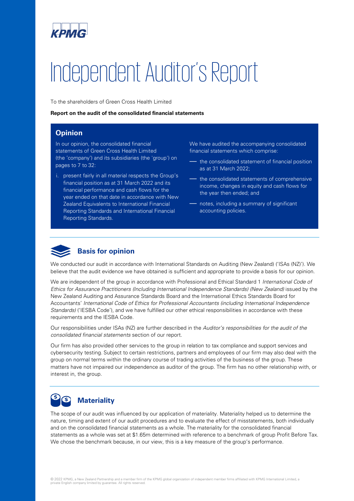

# Independent Auditor's Report

To the shareholders of Green Cross Health Limited

#### **Report on the audit of the consolidated financial statements**

# **Opinion**

In our opinion, the consolidated financial statements of Green Cross Health Limited (the 'company') and its subsidiaries (the 'group') on pages to 7 to 32:

i. present fairly in all material respects the Group's financial position as at 31 March 2022 and its financial performance and cash flows for the year ended on that date in accordance with New Zealand Equivalents to International Financial Reporting Standards and International Financial Reporting Standards.

We have audited the accompanying consolidated financial statements which comprise:

- the consolidated statement of financial position as at 31 March 2022;
- the consolidated statements of comprehensive income, changes in equity and cash flows for the year then ended; and
- notes, including a summary of significant accounting policies.



# **Basis for opinion**

We conducted our audit in accordance with International Standards on Auditing (New Zealand) ('ISAs (NZ)'). We believe that the audit evidence we have obtained is sufficient and appropriate to provide a basis for our opinion.

We are independent of the group in accordance with Professional and Ethical Standard 1 *International Code of Ethics for Assurance Practitioners (Including International Independence Standards) (New Zealand)* issued by the New Zealand Auditing and Assurance Standards Board and the International Ethics Standards Board for Accountants' *International Code of Ethics for Professional Accountants (including International Independence Standards)* ('IESBA Code'), and we have fulfilled our other ethical responsibilities in accordance with these requirements and the IESBA Code.

Our responsibilities under ISAs (NZ) are further described in the *Auditor's responsibilities for the audit of the consolidated financial statements* section of our report.

Our firm has also provided other services to the group in relation to tax compliance and support services and cybersecurity testing. Subject to certain restrictions, partners and employees of our firm may also deal with the group on normal terms within the ordinary course of trading activities of the business of the group. These matters have not impaired our independence as auditor of the group. The firm has no other relationship with, or interest in, the group.

#### S **Materiality**

The scope of our audit was influenced by our application of materiality. Materiality helped us to determine the nature, timing and extent of our audit procedures and to evaluate the effect of misstatements, both individually and on the consolidated financial statements as a whole. The materiality for the consolidated financial statements as a whole was set at \$1.65m determined with reference to a benchmark of group Profit Before Tax. We chose the benchmark because, in our view, this is a key measure of the group's performance.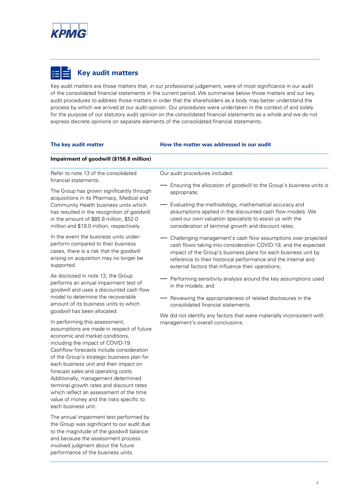

# **Key audit matters**

Key audit matters are those matters that, in our professional judgement, were of most significance in our audit of the consolidated financial statements in the current period. We summarise below those matters and our key audit procedures to address those matters in order that the shareholders as a body may better understand the process by which we arrived at our audit opinion. Our procedures were undertaken in the context of and solely for the purpose of our statutory audit opinion on the consolidated financial statements as a whole and we do not express discrete opinions on separate elements of the consolidated financial statements.

#### **The key audit matter How the matter was addressed in our audit**

#### **Impairment of goodwill (\$156.8 million)**

Refer to note 13 of the consolidated financial statements.

The Group has grown significantly through acquisitions in its Pharmacy, Medical and Community Health business units which has resulted in the recognition of goodwill in the amount of \$85.8 million, \$52.0 million and \$19.0 million, respectively.

In the event the business units underperform compared to their business cases, there is a risk that the goodwill arising on acquisition may no longer be supported.

As disclosed in note 13, the Group performs an annual impairment test of goodwill and uses a discounted cash flow model to determine the recoverable amount of its business units to which goodwill has been allocated.

In performing this assessment, assumptions are made in respect of future economic and market conditions, including the impact of COVID-19. Cashflow forecasts include consideration of the Group's strategic business plan for each business unit and their impact on forecast sales and operating costs. Additionally, management determined terminal growth rates and discount rates which reflect an assessment of the time value of money and the risks specific to each business unit.

The annual impairment test performed by the Group was significant to our audit due to the magnitude of the goodwill balance and because the assessment process involved judgment about the future performance of the business units.

Our audit procedures included:

- $-$  Ensuring the allocation of goodwill to the Group's business units is appropriate;
- Evaluating the methodology, mathematical accuracy and assumptions applied in the discounted cash flow models. We used our own valuation specialists to assist us with the consideration of terminal growth and discount rates;
- Challenging management's cash flow assumptions over projected cash flows taking into consideration COVID-19, and the expected impact of the Group's business plans for each business unit by reference to their historical performance and the internal and external factors that influence their operations;
- Performing sensitivity analysis around the key assumptions used in the models; and
- Reviewing the appropriateness of related disclosures in the consolidated financial statements.

We did not identify any factors that were materially inconsistent with management's overall conclusions.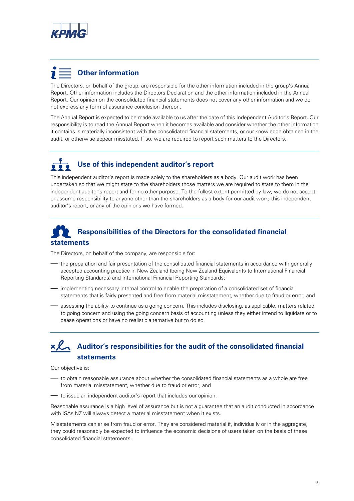

# **Other information**

The Directors, on behalf of the group, are responsible for the other information included in the group's Annual Report. Other information includes the Directors Declaration and the other information included in the Annual Report. Our opinion on the consolidated financial statements does not cover any other information and we do not express any form of assurance conclusion thereon.

The Annual Report is expected to be made available to us after the date of this Independent Auditor's Report. Our responsibility is to read the Annual Report when it becomes available and consider whether the other information it contains is materially inconsistent with the consolidated financial statements, or our knowledge obtained in the audit, or otherwise appear misstated. If so, we are required to report such matters to the Directors.

# **Use of this independent auditor's report**

This independent auditor's report is made solely to the shareholders as a body. Our audit work has been undertaken so that we might state to the shareholders those matters we are required to state to them in the independent auditor's report and for no other purpose. To the fullest extent permitted by law, we do not accept or assume responsibility to anyone other than the shareholders as a body for our audit work, this independent auditor's report, or any of the opinions we have formed.

# **Responsibilities of the Directors for the consolidated financial statements**

The Directors, on behalf of the company, are responsible for:

- the preparation and fair presentation of the consolidated financial statements in accordance with generally accepted accounting practice in New Zealand (being New Zealand Equivalents to International Financial Reporting Standards) and International Financial Reporting Standards;
- implementing necessary internal control to enable the preparation of a consolidated set of financial statements that is fairly presented and free from material misstatement, whether due to fraud or error; and
- assessing the ability to continue as a going concern. This includes disclosing, as applicable, matters related to going concern and using the going concern basis of accounting unless they either intend to liquidate or to cease operations or have no realistic alternative but to do so.

# **Auditor's responsibilities for the audit of the consolidated financial statements**

Our objective is:

- to obtain reasonable assurance about whether the consolidated financial statements as a whole are free from material misstatement, whether due to fraud or error; and
- to issue an independent auditor's report that includes our opinion.

Reasonable assurance is a high level of assurance but is not a guarantee that an audit conducted in accordance with ISAs NZ will always detect a material misstatement when it exists.

Misstatements can arise from fraud or error. They are considered material if, individually or in the aggregate, they could reasonably be expected to influence the economic decisions of users taken on the basis of these consolidated financial statements.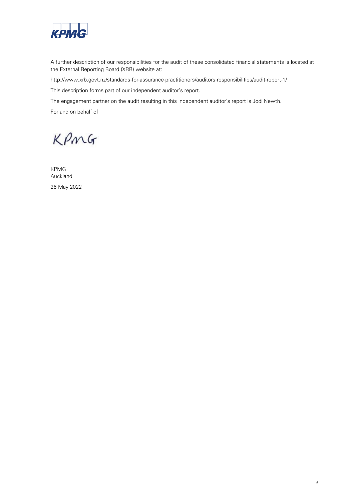

A further description of our responsibilities for the audit of these consolidated financial statements is located at the External Reporting Board (XRB) website at:

http://www.xrb.govt.nz/standards-for-assurance-practitioners/auditors-responsibilities/audit-report-1/

This description forms part of our independent auditor's report.

The engagement partner on the audit resulting in this independent auditor's report is Jodi Newth.

For and on behalf of

KPMG

KPMG Auckland 26 May 2022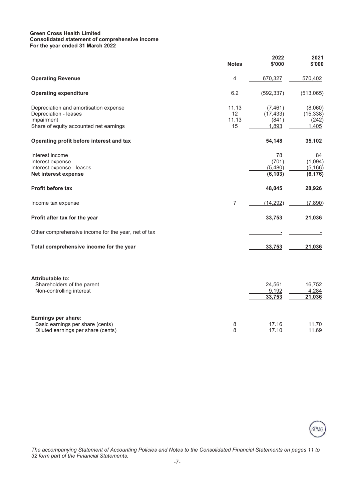#### **Green Cross Health Limited Consolidated statement of comprehensive income For the year ended 31 March 2022**

|                                                                                                                        | <b>Notes</b>               | 2022<br>\$'000                          | 2021<br>\$'000                         |
|------------------------------------------------------------------------------------------------------------------------|----------------------------|-----------------------------------------|----------------------------------------|
| <b>Operating Revenue</b>                                                                                               | 4                          | 670,327                                 | 570,402                                |
| <b>Operating expenditure</b>                                                                                           | 6.2                        | (592, 337)                              | (513,065)                              |
| Depreciation and amortisation expense<br>Depreciation - leases<br>Impairment<br>Share of equity accounted net earnings | 11,13<br>12<br>11,13<br>15 | (7, 461)<br>(17, 433)<br>(841)<br>1,893 | (8,060)<br>(15, 338)<br>(242)<br>1,405 |
| Operating profit before interest and tax                                                                               |                            | 54,148                                  | 35,102                                 |
| Interest income<br>Interest expense<br>Interest expense - leases<br>Net interest expense                               |                            | 78<br>(701)<br>(5,480)<br>(6, 103)      | 84<br>(1,094)<br>(5, 166)<br>(6, 176)  |
| <b>Profit before tax</b>                                                                                               |                            | 48,045                                  | 28,926                                 |
| Income tax expense                                                                                                     | $\overline{7}$             | (14, 292)                               | (7,890)                                |
| Profit after tax for the year                                                                                          |                            | 33,753                                  | 21,036                                 |
| Other comprehensive income for the year, net of tax                                                                    |                            |                                         |                                        |
| Total comprehensive income for the year                                                                                |                            | 33,753                                  | 21,036                                 |
| <b>Attributable to:</b><br>Shareholders of the parent<br>Non-controlling interest                                      |                            | 24,561<br>9,192<br>33,753               | 16,752<br>4,284<br>21,036              |
| Earnings per share:                                                                                                    |                            |                                         |                                        |



*The accompanying Statement of Accounting Policies and Notes to the Consolidated Financial Statements on pages 11 to 32 form part of the Financial Statements.*

Basic earnings per share (cents) 8 17.16 11.70 Diluted earnings per share (cents) 8 17.10 11.69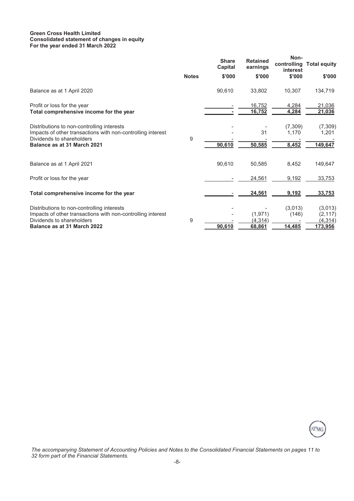#### **Green Cross Health Limited Consolidated statement of changes in equity For the year ended 31 March 2022**

|                                                                                                                                        |              | <b>Share</b><br>Capital | <b>Retained</b><br>earnings | Non-<br>controlling<br>interest | <b>Total equity</b>             |
|----------------------------------------------------------------------------------------------------------------------------------------|--------------|-------------------------|-----------------------------|---------------------------------|---------------------------------|
|                                                                                                                                        | <b>Notes</b> | \$'000                  | \$'000                      | \$'000                          | \$'000                          |
| Balance as at 1 April 2020                                                                                                             |              | 90,610                  | 33,802                      | 10,307                          | 134,719                         |
| Profit or loss for the year<br>Total comprehensive income for the year                                                                 |              |                         | 16,752<br>16,752            | 4,284<br>4,284                  | 21,036<br>21,036                |
| Distributions to non-controlling interests<br>Impacts of other transactions with non-controlling interest<br>Dividends to shareholders | 9            |                         | 31                          | (7,309)<br>1,170                | (7, 309)<br>1,201               |
| Balance as at 31 March 2021                                                                                                            |              | 90,610                  | 50,585                      | 8,452                           | 149,647                         |
| Balance as at 1 April 2021                                                                                                             |              | 90,610                  | 50,585                      | 8,452                           | 149,647                         |
| Profit or loss for the year                                                                                                            |              |                         | 24,561                      | 9,192                           | 33,753                          |
| Total comprehensive income for the year                                                                                                |              |                         | 24,561                      | 9,192                           | 33,753                          |
| Distributions to non-controlling interests<br>Impacts of other transactions with non-controlling interest<br>Dividends to shareholders | 9            |                         | (1, 971)<br>(4, 314)        | (3,013)<br>(146)                | (3,013)<br>(2, 117)<br>(4, 314) |
| Balance as at 31 March 2022                                                                                                            |              | 90,610                  | 68,861                      | 14,485                          | 173,956                         |



*The accompanying Statement of Accounting Policies and Notes to the Consolidated Financial Statements on pages 11 to 32 form part of the Financial Statements.*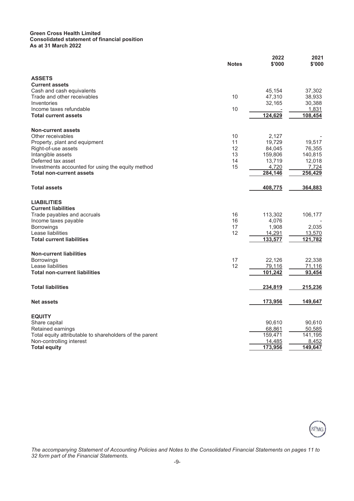#### **Green Cross Health Limited Consolidated statement of financial position As at 31 March 2022**

|                                                         | <b>Notes</b> | 2022<br>\$'000 | 2021<br>\$'000 |
|---------------------------------------------------------|--------------|----------------|----------------|
| <b>ASSETS</b>                                           |              |                |                |
| <b>Current assets</b>                                   |              |                |                |
| Cash and cash equivalents                               |              | 45,154         | 37,302         |
| Trade and other receivables                             | 10           | 47,310         | 38,933         |
| Inventories                                             |              | 32,165         | 30,388         |
| Income taxes refundable                                 | 10           |                | 1,831          |
| <b>Total current assets</b>                             |              | 124,629        | 108,454        |
| <b>Non-current assets</b>                               |              |                |                |
| Other receivables                                       | 10           | 2,127          |                |
| Property, plant and equipment                           | 11           | 19,729         | 19,517         |
| Right-of-use assets                                     | 12           | 84,045         | 76,355         |
| Intangible assets                                       | 13           | 159,806        | 140,815        |
| Deferred tax asset                                      | 14           | 13,719         | 12,018         |
| Investments accounted for using the equity method       | 15           | 4,720          | 7,724          |
| <b>Total non-current assets</b>                         |              | 284,146        | 256,429        |
| <b>Total assets</b>                                     |              | 408,775        | 364,883        |
| <b>LIABILITIES</b>                                      |              |                |                |
| <b>Current liabilities</b>                              |              |                |                |
| Trade payables and accruals                             | 16           | 113,302        | 106,177        |
| Income taxes payable                                    | 16           | 4,076          |                |
| <b>Borrowings</b>                                       | 17           | 1,908          | 2,035          |
| Lease liabilities                                       | 12           | 14,291         | 13,570         |
| <b>Total current liabilities</b>                        |              | 133,577        | 121,782        |
| <b>Non-current liabilities</b>                          |              |                |                |
| <b>Borrowings</b>                                       | 17           | 22,126         | 22,338         |
| Lease liabilities                                       | 12           | 79,116         | 71,116         |
| <b>Total non-current liabilities</b>                    |              | 101,242        | 93,454         |
| <b>Total liabilities</b>                                |              | 234,819        | 215,236        |
| <b>Net assets</b>                                       |              | 173,956        | 149,647        |
| <b>EQUITY</b>                                           |              |                |                |
| Share capital                                           |              | 90,610         | 90,610         |
| Retained earnings                                       |              | 68,861         | 50,585         |
| Total equity attributable to shareholders of the parent |              | 159,471        | 141,195        |
| Non-controlling interest                                |              | 14,485         | 8,452          |
| <b>Total equity</b>                                     |              | 173,956        | 149,647        |
|                                                         |              |                |                |



*The accompanying Statement of Accounting Policies and Notes to the Consolidated Financial Statements on pages 11 to 32 form part of the Financial Statements.*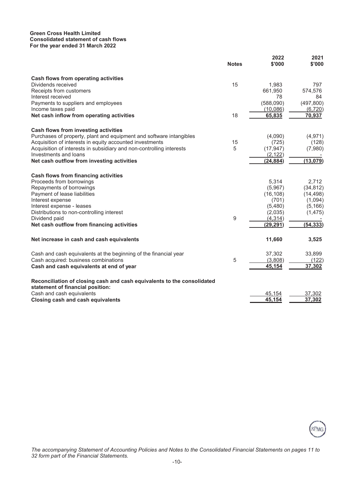#### **Green Cross Health Limited Consolidated statement of cash flows For the year ended 31 March 2022**

| Cash flows from operating activities<br>Dividends received<br>15<br>1,983<br>797<br>661,950<br>Receipts from customers<br>574,576<br>Interest received<br>78<br>84<br>(588,090)<br>(497, 800)<br>Payments to suppliers and employees<br>Income taxes paid<br>(10,086)<br>(6, 720)<br>18<br>Net cash inflow from operating activities<br>65,835<br>70,937<br>Cash flows from investing activities<br>Purchases of property, plant and equipment and software intangibles<br>(4,090)<br>(4, 971)<br>Acquisition of interests in equity accounted investments<br>15<br>(725)<br>(128)<br>Acquisition of interests in subsidiary and non-controlling interests<br>5<br>(17, 947)<br>(7,980)<br>Investments and loans<br>(2, 122)<br>(13,079)<br>Net cash outflow from investing activities<br>(24, 884)<br><b>Cash flows from financing activities</b><br>Proceeds from borrowings<br>5,314<br>2,712<br>Repayments of borrowings<br>(34, 812)<br>(5,967)<br>Payment of lease liabilities<br>(16, 108)<br>(14, 498)<br>Interest expense<br>(701)<br>(1,094)<br>(5,480)<br>Interest expense - leases<br>(5, 166)<br>Distributions to non-controlling interest<br>(2,035)<br>(1, 475)<br>9<br>Dividend paid<br>(4, 314)<br>(54, 333)<br>Net cash outflow from financing activities<br>(29.291)<br>11,660<br>Net increase in cash and cash equivalents<br>3,525<br>37,302<br>33,899<br>Cash and cash equivalents at the beginning of the financial year<br>5<br>Cash acquired: business combinations<br>(3,808)<br>(122)<br>Cash and cash equivalents at end of year<br>37,302<br>45,154<br>Reconciliation of closing cash and cash equivalents to the consolidated<br>statement of financial position:<br>Cash and cash equivalents<br>45,154<br>37,302<br>45.154<br>37,302<br><b>Closing cash and cash equivalents</b> | <b>Notes</b> | 2022<br>\$'000 | 2021<br>\$'000 |
|------------------------------------------------------------------------------------------------------------------------------------------------------------------------------------------------------------------------------------------------------------------------------------------------------------------------------------------------------------------------------------------------------------------------------------------------------------------------------------------------------------------------------------------------------------------------------------------------------------------------------------------------------------------------------------------------------------------------------------------------------------------------------------------------------------------------------------------------------------------------------------------------------------------------------------------------------------------------------------------------------------------------------------------------------------------------------------------------------------------------------------------------------------------------------------------------------------------------------------------------------------------------------------------------------------------------------------------------------------------------------------------------------------------------------------------------------------------------------------------------------------------------------------------------------------------------------------------------------------------------------------------------------------------------------------------------------------------------------------------------------------------------------------------------------------------|--------------|----------------|----------------|
|                                                                                                                                                                                                                                                                                                                                                                                                                                                                                                                                                                                                                                                                                                                                                                                                                                                                                                                                                                                                                                                                                                                                                                                                                                                                                                                                                                                                                                                                                                                                                                                                                                                                                                                                                                                                                  |              |                |                |
|                                                                                                                                                                                                                                                                                                                                                                                                                                                                                                                                                                                                                                                                                                                                                                                                                                                                                                                                                                                                                                                                                                                                                                                                                                                                                                                                                                                                                                                                                                                                                                                                                                                                                                                                                                                                                  |              |                |                |
|                                                                                                                                                                                                                                                                                                                                                                                                                                                                                                                                                                                                                                                                                                                                                                                                                                                                                                                                                                                                                                                                                                                                                                                                                                                                                                                                                                                                                                                                                                                                                                                                                                                                                                                                                                                                                  |              |                |                |
|                                                                                                                                                                                                                                                                                                                                                                                                                                                                                                                                                                                                                                                                                                                                                                                                                                                                                                                                                                                                                                                                                                                                                                                                                                                                                                                                                                                                                                                                                                                                                                                                                                                                                                                                                                                                                  |              |                |                |
|                                                                                                                                                                                                                                                                                                                                                                                                                                                                                                                                                                                                                                                                                                                                                                                                                                                                                                                                                                                                                                                                                                                                                                                                                                                                                                                                                                                                                                                                                                                                                                                                                                                                                                                                                                                                                  |              |                |                |
|                                                                                                                                                                                                                                                                                                                                                                                                                                                                                                                                                                                                                                                                                                                                                                                                                                                                                                                                                                                                                                                                                                                                                                                                                                                                                                                                                                                                                                                                                                                                                                                                                                                                                                                                                                                                                  |              |                |                |
|                                                                                                                                                                                                                                                                                                                                                                                                                                                                                                                                                                                                                                                                                                                                                                                                                                                                                                                                                                                                                                                                                                                                                                                                                                                                                                                                                                                                                                                                                                                                                                                                                                                                                                                                                                                                                  |              |                |                |
|                                                                                                                                                                                                                                                                                                                                                                                                                                                                                                                                                                                                                                                                                                                                                                                                                                                                                                                                                                                                                                                                                                                                                                                                                                                                                                                                                                                                                                                                                                                                                                                                                                                                                                                                                                                                                  |              |                |                |
|                                                                                                                                                                                                                                                                                                                                                                                                                                                                                                                                                                                                                                                                                                                                                                                                                                                                                                                                                                                                                                                                                                                                                                                                                                                                                                                                                                                                                                                                                                                                                                                                                                                                                                                                                                                                                  |              |                |                |
|                                                                                                                                                                                                                                                                                                                                                                                                                                                                                                                                                                                                                                                                                                                                                                                                                                                                                                                                                                                                                                                                                                                                                                                                                                                                                                                                                                                                                                                                                                                                                                                                                                                                                                                                                                                                                  |              |                |                |
|                                                                                                                                                                                                                                                                                                                                                                                                                                                                                                                                                                                                                                                                                                                                                                                                                                                                                                                                                                                                                                                                                                                                                                                                                                                                                                                                                                                                                                                                                                                                                                                                                                                                                                                                                                                                                  |              |                |                |
|                                                                                                                                                                                                                                                                                                                                                                                                                                                                                                                                                                                                                                                                                                                                                                                                                                                                                                                                                                                                                                                                                                                                                                                                                                                                                                                                                                                                                                                                                                                                                                                                                                                                                                                                                                                                                  |              |                |                |
|                                                                                                                                                                                                                                                                                                                                                                                                                                                                                                                                                                                                                                                                                                                                                                                                                                                                                                                                                                                                                                                                                                                                                                                                                                                                                                                                                                                                                                                                                                                                                                                                                                                                                                                                                                                                                  |              |                |                |
|                                                                                                                                                                                                                                                                                                                                                                                                                                                                                                                                                                                                                                                                                                                                                                                                                                                                                                                                                                                                                                                                                                                                                                                                                                                                                                                                                                                                                                                                                                                                                                                                                                                                                                                                                                                                                  |              |                |                |
|                                                                                                                                                                                                                                                                                                                                                                                                                                                                                                                                                                                                                                                                                                                                                                                                                                                                                                                                                                                                                                                                                                                                                                                                                                                                                                                                                                                                                                                                                                                                                                                                                                                                                                                                                                                                                  |              |                |                |
|                                                                                                                                                                                                                                                                                                                                                                                                                                                                                                                                                                                                                                                                                                                                                                                                                                                                                                                                                                                                                                                                                                                                                                                                                                                                                                                                                                                                                                                                                                                                                                                                                                                                                                                                                                                                                  |              |                |                |
|                                                                                                                                                                                                                                                                                                                                                                                                                                                                                                                                                                                                                                                                                                                                                                                                                                                                                                                                                                                                                                                                                                                                                                                                                                                                                                                                                                                                                                                                                                                                                                                                                                                                                                                                                                                                                  |              |                |                |
|                                                                                                                                                                                                                                                                                                                                                                                                                                                                                                                                                                                                                                                                                                                                                                                                                                                                                                                                                                                                                                                                                                                                                                                                                                                                                                                                                                                                                                                                                                                                                                                                                                                                                                                                                                                                                  |              |                |                |
|                                                                                                                                                                                                                                                                                                                                                                                                                                                                                                                                                                                                                                                                                                                                                                                                                                                                                                                                                                                                                                                                                                                                                                                                                                                                                                                                                                                                                                                                                                                                                                                                                                                                                                                                                                                                                  |              |                |                |
|                                                                                                                                                                                                                                                                                                                                                                                                                                                                                                                                                                                                                                                                                                                                                                                                                                                                                                                                                                                                                                                                                                                                                                                                                                                                                                                                                                                                                                                                                                                                                                                                                                                                                                                                                                                                                  |              |                |                |
|                                                                                                                                                                                                                                                                                                                                                                                                                                                                                                                                                                                                                                                                                                                                                                                                                                                                                                                                                                                                                                                                                                                                                                                                                                                                                                                                                                                                                                                                                                                                                                                                                                                                                                                                                                                                                  |              |                |                |
|                                                                                                                                                                                                                                                                                                                                                                                                                                                                                                                                                                                                                                                                                                                                                                                                                                                                                                                                                                                                                                                                                                                                                                                                                                                                                                                                                                                                                                                                                                                                                                                                                                                                                                                                                                                                                  |              |                |                |
|                                                                                                                                                                                                                                                                                                                                                                                                                                                                                                                                                                                                                                                                                                                                                                                                                                                                                                                                                                                                                                                                                                                                                                                                                                                                                                                                                                                                                                                                                                                                                                                                                                                                                                                                                                                                                  |              |                |                |
|                                                                                                                                                                                                                                                                                                                                                                                                                                                                                                                                                                                                                                                                                                                                                                                                                                                                                                                                                                                                                                                                                                                                                                                                                                                                                                                                                                                                                                                                                                                                                                                                                                                                                                                                                                                                                  |              |                |                |
|                                                                                                                                                                                                                                                                                                                                                                                                                                                                                                                                                                                                                                                                                                                                                                                                                                                                                                                                                                                                                                                                                                                                                                                                                                                                                                                                                                                                                                                                                                                                                                                                                                                                                                                                                                                                                  |              |                |                |
|                                                                                                                                                                                                                                                                                                                                                                                                                                                                                                                                                                                                                                                                                                                                                                                                                                                                                                                                                                                                                                                                                                                                                                                                                                                                                                                                                                                                                                                                                                                                                                                                                                                                                                                                                                                                                  |              |                |                |
|                                                                                                                                                                                                                                                                                                                                                                                                                                                                                                                                                                                                                                                                                                                                                                                                                                                                                                                                                                                                                                                                                                                                                                                                                                                                                                                                                                                                                                                                                                                                                                                                                                                                                                                                                                                                                  |              |                |                |



*The accompanying Statement of Accounting Policies and Notes to the Consolidated Financial Statements on pages 11 to 32 form part of the Financial Statements.*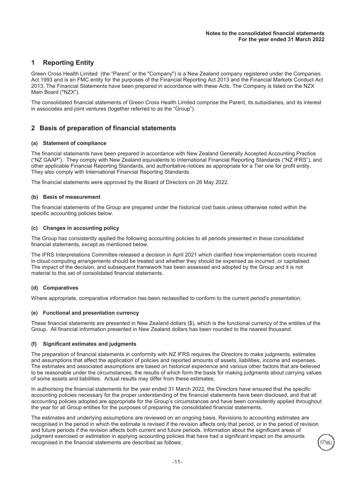# **1 Reporting Entity**

Green Cross Health Limited (the "Parent" or the "Company") is a New Zealand company registered under the Companies Act 1993 and is an FMC entity for the purposes of the Financial Reporting Act 2013 and the Financial Markets Conduct Act 2013. The Financial Statements have been prepared in accordance with these Acts. The Company is listed on the NZX Main Board ("NZX").

The consolidated financial statements of Green Cross Health Limited comprise the Parent, its subsidiaries, and its interest in associates and joint ventures (together referred to as the "Group").

# **2 Basis of preparation of financial statements**

#### **(a) Statement of compliance**

The financial statements have been prepared in accordance with New Zealand Generally Accepted Accounting Practice ("NZ GAAP"). They comply with New Zealand equivalents to International Financial Reporting Standards ("NZ IFRS"), and other applicable Financial Reporting Standards, and authoritative notices as appropriate for a Tier one for profit entity. They also comply with International Financial Reporting Standards.

The financial statements were approved by the Board of Directors on 26 May 2022.

#### **(b) Basis of measurement**

The financial statements of the Group are prepared under the historical cost basis unless otherwise noted within the specific accounting policies below.

#### **(c) Changes in accounting policy**

The Group has consistently applied the following accounting policies to all periods presented in these consolidated financial statements, except as mentioned below.

The IFRS Interpretations Committee released a decision in April 2021 which clarified how implementation costs incurred in cloud computing arrangements should be treated and whether they should be expensed as incurred, or capitalised. The impact of the decision, and subsequent framework has been assessed and adopted by the Group and it is not material to this set of consolidated financial statements.

#### **(d) Comparatives**

Where appropriate, comparative information has been reclassified to conform to the current period's presentation.

#### **(e) Functional and presentation currency**

These financial statements are presented in New Zealand dollars (\$), which is the functional currency of the entities of the Group. All financial information presented in New Zealand dollars has been rounded to the nearest thousand.

#### **(f) Significant estimates and judgments**

The preparation of financial statements in conformity with NZ IFRS requires the Directors to make judgments, estimates and assumptions that affect the application of policies and reported amounts of assets, liabilities, income and expenses. The estimates and associated assumptions are based on historical experience and various other factors that are believed to be reasonable under the circumstances, the results of which form the basis for making judgments about carrying values of some assets and liabilities. Actual results may differ from these estimates.

In authorising the financial statements for the year ended 31 March 2022, the Directors have ensured that the specific accounting policies necessary for the proper understanding of the financial statements have been disclosed, and that all accounting policies adopted are appropriate for the Group's circumstances and have been consistently applied throughout the year for all Group entities for the purposes of preparing the consolidated financial statements.

The estimates and underlying assumptions are reviewed on an ongoing basis. Revisions to accounting estimates are recognised in the period in which the estimate is revised if the revision affects only that period, or in the period of revision and future periods if the revision affects both current and future periods. Information about the significant areas of judgment exercised or estimation in applying accounting policies that have had a significant impact on the amounts recognised in the financial statements are described as follows: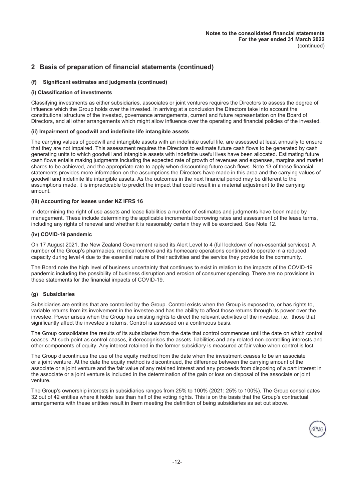# **2 Basis of preparation of financial statements (continued)**

# **(f) Significant estimates and judgments (continued)**

#### **(i) Classification of investments**

Classifying investments as either subsidiaries, associates or joint ventures requires the Directors to assess the degree of influence which the Group holds over the invested. In arriving at a conclusion the Directors take into account the constitutional structure of the invested, governance arrangements, current and future representation on the Board of Directors, and all other arrangements which might allow influence over the operating and financial policies of the invested.

#### **(ii) Impairment of goodwill and indefinite life intangible assets**

The carrying values of goodwill and intangible assets with an indefinite useful life, are assessed at least annually to ensure that they are not impaired. This assessment requires the Directors to estimate future cash flows to be generated by cash generating units to which goodwill and intangible assets with indefinite useful lives have been allocated. Estimating future cash flows entails making judgments including the expected rate of growth of revenues and expenses, margins and market shares to be achieved, and the appropriate rate to apply when discounting future cash flows. Note 13 of these financial statements provides more information on the assumptions the Directors have made in this area and the carrying values of goodwill and indefinite life intangible assets. As the outcomes in the next financial period may be different to the assumptions made, it is impracticable to predict the impact that could result in a material adjustment to the carrying amount.

#### **(iii) Accounting for leases under NZ IFRS 16**

In determining the right of use assets and lease liabilities a number of estimates and judgments have been made by management. These include determining the applicable incremental borrowing rates and assessment of the lease terms, including any rights of renewal and whether it is reasonably certain they will be exercised. See Note 12.

#### **(iv) COVID-19 pandemic**

On 17 August 2021, the New Zealand Government raised its Alert Level to 4 (full lockdown of non-essential services). A number of the Group's pharmacies, medical centres and its homecare operations continued to operate in a reduced capacity during level 4 due to the essential nature of their activities and the service they provide to the community.

The Board note the high level of business uncertainty that continues to exist in relation to the impacts of the COVID-19 pandemic including the possibility of business disruption and erosion of consumer spending. There are no provisions in these statements for the financial impacts of COVID-19.

#### **(g) Subsidiaries**

Subsidiaries are entities that are controlled by the Group. Control exists when the Group is exposed to, or has rights to, variable returns from its involvement in the investee and has the ability to affect those returns through its power over the investee. Power arises when the Group has existing rights to direct the relevant activities of the investee, i.e. those that significantly affect the investee's returns. Control is assessed on a continuous basis.

The Group consolidates the results of its subsidiaries from the date that control commences until the date on which control ceases. At such point as control ceases, it derecognises the assets, liabilities and any related non-controlling interests and other components of equity. Any interest retained in the former subsidiary is measured at fair value when control is lost.

The Group discontinues the use of the equity method from the date when the investment ceases to be an associate or a joint venture. At the date the equity method is discontinued, the difference between the carrying amount of the associate or a joint venture and the fair value of any retained interest and any proceeds from disposing of a part interest in the associate or a joint venture is included in the determination of the gain or loss on disposal of the associate or joint venture.

The Group's ownership interests in subsidiaries ranges from 25% to 100% (2021: 25% to 100%). The Group consolidates 32 out of 42 entities where it holds less than half of the voting rights. This is on the basis that the Group's contractual arrangements with these entities result in them meeting the definition of being subsidiaries as set out above.

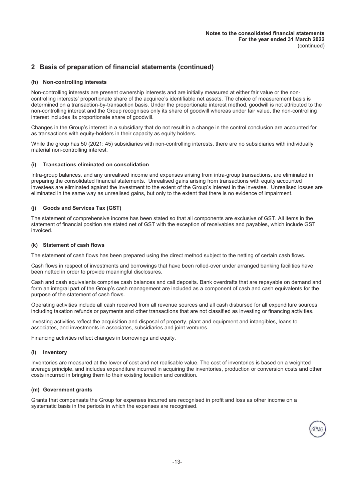# **2 Basis of preparation of financial statements (continued)**

#### **(h) Non-controlling interests**

Non-controlling interests are present ownership interests and are initially measured at either fair value or the noncontrolling interests' proportionate share of the acquiree's identifiable net assets. The choice of measurement basis is determined on a transaction-by-transaction basis. Under the proportionate interest method, goodwill is not attributed to the non-controlling interest and the Group recognises only its share of goodwill whereas under fair value, the non-controlling interest includes its proportionate share of goodwill.

Changes in the Group's interest in a subsidiary that do not result in a change in the control conclusion are accounted for as transactions with equity-holders in their capacity as equity holders.

While the group has 50 (2021: 45) subsidiaries with non-controlling interests, there are no subsidiaries with individually material non-controlling interest.

#### **(i) Transactions eliminated on consolidation**

Intra-group balances, and any unrealised income and expenses arising from intra-group transactions, are eliminated in preparing the consolidated financial statements. Unrealised gains arising from transactions with equity accounted investees are eliminated against the investment to the extent of the Group's interest in the investee. Unrealised losses are eliminated in the same way as unrealised gains, but only to the extent that there is no evidence of impairment.

#### **(j) Goods and Services Tax (GST)**

The statement of comprehensive income has been stated so that all components are exclusive of GST. All items in the statement of financial position are stated net of GST with the exception of receivables and payables, which include GST invoiced.

#### **(k) Statement of cash flows**

The statement of cash flows has been prepared using the direct method subject to the netting of certain cash flows.

Cash flows in respect of investments and borrowings that have been rolled-over under arranged banking facilities have been netted in order to provide meaningful disclosures.

Cash and cash equivalents comprise cash balances and call deposits. Bank overdrafts that are repayable on demand and form an integral part of the Group's cash management are included as a component of cash and cash equivalents for the purpose of the statement of cash flows.

Operating activities include all cash received from all revenue sources and all cash disbursed for all expenditure sources including taxation refunds or payments and other transactions that are not classified as investing or financing activities.

Investing activities reflect the acquisition and disposal of property, plant and equipment and intangibles, loans to associates, and investments in associates, subsidiaries and joint ventures.

Financing activities reflect changes in borrowings and equity.

#### **(l) Inventory**

Inventories are measured at the lower of cost and net realisable value. The cost of inventories is based on a weighted average principle, and includes expenditure incurred in acquiring the inventories, production or conversion costs and other costs incurred in bringing them to their existing location and condition.

#### **(m) Government grants**

Grants that compensate the Group for expenses incurred are recognised in profit and loss as other income on a systematic basis in the periods in which the expenses are recognised.

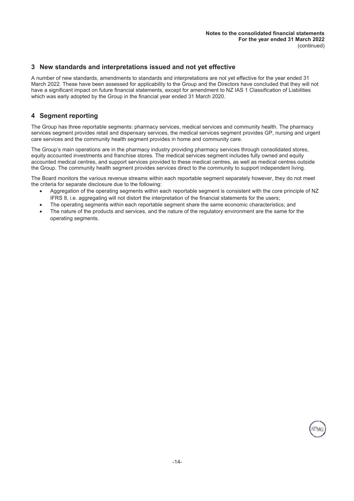# **3 New standards and interpretations issued and not yet effective**

A number of new standards, amendments to standards and interpretations are not yet effective for the year ended 31 March 2022. These have been assessed for applicability to the Group and the Directors have concluded that they will not have a significant impact on future financial statements, except for amendment to NZ IAS 1 Classification of Liabilities which was early adopted by the Group in the financial year ended 31 March 2020.

# **4 Segment reporting**

The Group has three reportable segments: pharmacy services, medical services and community health. The pharmacy services segment provides retail and dispensary services, the medical services segment provides GP, nursing and urgent care services and the community health segment provides in home and community care.

The Group's main operations are in the pharmacy industry providing pharmacy services through consolidated stores, equity accounted investments and franchise stores. The medical services segment includes fully owned and equity accounted medical centres, and support services provided to these medical centres, as well as medical centres outside the Group. The community health segment provides services direct to the community to support independent living.

The Board monitors the various revenue streams within each reportable segment separately however, they do not meet the criteria for separate disclosure due to the following:

- Aggregation of the operating segments within each reportable segment is consistent with the core principle of NZ IFRS 8, i.e. aggregating will not distort the interpretation of the financial statements for the users;
- The operating segments within each reportable segment share the same economic characteristics; and
- The nature of the products and services, and the nature of the regulatory environment are the same for the operating segments.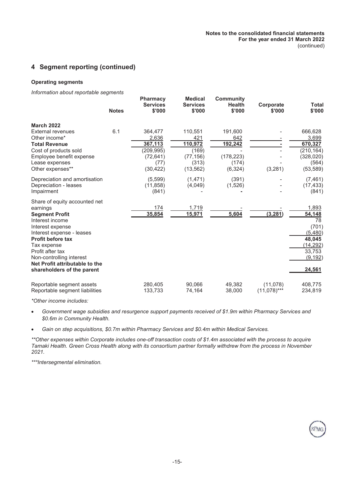# **4 Segment reporting (continued)**

#### **Operating segments**

*Information about reportable segments*

|                                                                                                                                                                                                                                                                                                   | <b>Notes</b> | <b>Pharmacy</b><br><b>Services</b><br>\$'000          | <b>Medical</b><br><b>Services</b><br>\$'000     | <b>Community</b><br><b>Health</b><br>\$'000 | Corporate<br>\$'000        | Total<br>\$'000                                                                                 |
|---------------------------------------------------------------------------------------------------------------------------------------------------------------------------------------------------------------------------------------------------------------------------------------------------|--------------|-------------------------------------------------------|-------------------------------------------------|---------------------------------------------|----------------------------|-------------------------------------------------------------------------------------------------|
| <b>March 2022</b><br>External revenues<br>Other income*<br><b>Total Revenue</b><br>Cost of products sold<br>Employee benefit expense                                                                                                                                                              | 6.1          | 364,477<br>2,636<br>367,113<br>(209,995)<br>(72, 641) | 110,551<br>421<br>110,972<br>(169)<br>(77, 156) | 191,600<br>642<br>192,242<br>(178, 223)     |                            | 666,628<br>3,699<br>670,327<br>(210, 164)<br>(328, 020)                                         |
| Lease expenses<br>Other expenses**                                                                                                                                                                                                                                                                |              | (77)<br>(30, 422)                                     | (313)<br>(13, 562)                              | (174)<br>(6, 324)                           | (3, 281)                   | (564)<br>(53, 589)                                                                              |
| Depreciation and amortisation<br>Depreciation - leases<br>Impairment                                                                                                                                                                                                                              |              | (5,599)<br>(11, 858)<br>(841)                         | (1, 471)<br>(4,049)                             | (391)<br>(1,526)                            |                            | (7, 461)<br>(17, 433)<br>(841)                                                                  |
| Share of equity accounted net<br>earnings<br><b>Segment Profit</b><br>Interest income<br>Interest expense<br>Interest expense - leases<br><b>Profit before tax</b><br>Tax expense<br>Profit after tax<br>Non-controlling interest<br>Net Profit attributable to the<br>shareholders of the parent |              | 174<br>35,854                                         | 1,719<br>15,971                                 | 5,604                                       | (3, 281)                   | 1,893<br>54,148<br>78<br>(701)<br>(5,480)<br>48,045<br>(14,292)<br>33,753<br>(9, 192)<br>24,561 |
| Reportable segment assets<br>Reportable segment liabilities                                                                                                                                                                                                                                       |              | 280,405<br>133,733                                    | 90,066<br>74,164                                | 49.382<br>38,000                            | (11,078)<br>$(11,078)$ *** | 408,775<br>234,819                                                                              |

**Pharmacy**

*\*Other income includes:*

 *Government wage subsidies and resurgence support payments received of \$1.9m within Pharmacy Services and \$0.6m in Community Health.*

*Gain on step acquisitions, \$0.7m within Pharmacy Services and \$0.4m within Medical Services.*

*\*\*Other expenses within Corporate includes one-off transaction costs of \$1.4m associated with the process to acquire Tamaki Health. Green Cross Health along with its consortium partner formally withdrew from the process in November 2021.*

*\*\*\*Intersegmental elimination.*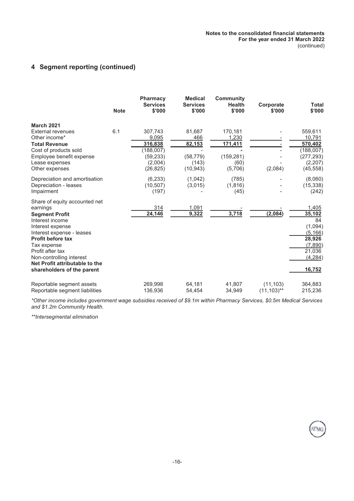# **4 Segment reporting (continued)**

|                                                                                                                                                                                                                                                                                                   | <b>Note</b> | <b>Pharmacy</b><br><b>Services</b><br>\$'000                                  | <b>Medical</b><br><b>Services</b><br>\$'000                | <b>Community</b><br><b>Health</b><br>\$'000                  | Corporate<br>\$'000         | <b>Total</b><br>\$'000                                                                            |
|---------------------------------------------------------------------------------------------------------------------------------------------------------------------------------------------------------------------------------------------------------------------------------------------------|-------------|-------------------------------------------------------------------------------|------------------------------------------------------------|--------------------------------------------------------------|-----------------------------|---------------------------------------------------------------------------------------------------|
| <b>March 2021</b><br><b>External revenues</b><br>Other income*<br><b>Total Revenue</b><br>Cost of products sold<br>Employee benefit expense<br>Lease expenses<br>Other expenses                                                                                                                   | 6.1         | 307,743<br>9,095<br>316,838<br>(188,007)<br>(59, 233)<br>(2,004)<br>(26, 825) | 81,687<br>466<br>82,153<br>(58, 779)<br>(143)<br>(10, 943) | 170,181<br>1,230<br>171,411<br>(159, 281)<br>(60)<br>(5,706) | (2,084)                     | 559,611<br>10.791<br>570,402<br>(188,007)<br>(277, 293)<br>(2,207)<br>(45, 558)                   |
| Depreciation and amortisation<br>Depreciation - leases<br>Impairment                                                                                                                                                                                                                              |             | (6, 233)<br>(10, 507)<br>(197)                                                | (1,042)<br>(3,015)                                         | (785)<br>(1,816)<br>(45)                                     |                             | (8,060)<br>(15, 338)<br>(242)                                                                     |
| Share of equity accounted net<br>earnings<br><b>Segment Profit</b><br>Interest income<br>Interest expense<br>Interest expense - leases<br><b>Profit before tax</b><br>Tax expense<br>Profit after tax<br>Non-controlling interest<br>Net Profit attributable to the<br>shareholders of the parent |             | 314<br>24,146                                                                 | 1,091<br>9,322                                             | 3,718                                                        | (2,084)                     | 1,405<br>35,102<br>84<br>(1,094)<br>(5, 166)<br>28,926<br>(7,890)<br>21,036<br>(4, 284)<br>16,752 |
| Reportable segment assets<br>Reportable segment liabilities                                                                                                                                                                                                                                       |             | 269,998<br>136,936                                                            | 64,181<br>54,454                                           | 41,807<br>34,949                                             | (11, 103)<br>$(11, 103)$ ** | 364,883<br>215,236                                                                                |

*\*Other income includes government wage subsidies received of \$9.1m within Pharmacy Services, \$0.5m Medical Services and \$1.2m Community Health.*

*\*\*Intersegmental elimination*

**SPMC**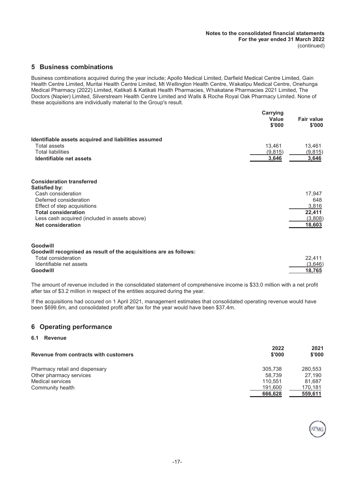# **5 Business combinations**

Business combinations acquired during the year include; Apollo Medical Limited, Darfield Medical Centre Limited, Gain Health Centre Limited, Muritai Health Centre Limited, Mt Wellington Health Centre, Wakatipu Medical Centre, Onehunga Medical Pharmacy (2022) Limited, Katikati & Katikati Health Pharmacies, Whakatane Pharmacies 2021 Limited, The Doctors (Napier) Limited, Silverstream Health Centre Limited and Walls & Roche Royal Oak Pharmacy Limited. None of these acquisitions are individually material to the Group's result.

|                                                                   | Carrying<br>Value<br>\$'000 | <b>Fair value</b><br>\$'000 |
|-------------------------------------------------------------------|-----------------------------|-----------------------------|
| Identifiable assets acquired and liabilities assumed              |                             |                             |
| Total assets                                                      | 13,461                      | 13,461                      |
| <b>Total liabilities</b>                                          | (9,815)                     | (9,815)                     |
| Identifiable net assets                                           | 3,646                       | 3,646                       |
| <b>Consideration transferred</b>                                  |                             |                             |
| Satisfied by:<br>Cash consideration                               |                             | 17,947                      |
| Deferred consideration                                            |                             | 648                         |
| Effect of step acquisitions                                       |                             | 3,816                       |
| <b>Total consideration</b>                                        |                             | 22,411                      |
| Less cash acquired (included in assets above)                     |                             | (3,808)                     |
| <b>Net consideration</b>                                          |                             | 18,603                      |
| Goodwill                                                          |                             |                             |
| Goodwill recognised as result of the acquisitions are as follows: |                             |                             |
| Total consideration                                               |                             | 22,411                      |
| Identifiable net assets                                           |                             | (3,646)                     |
| Goodwill                                                          |                             | 18,765                      |

The amount of revenue included in the consolidated statement of comprehensive income is \$33.0 million with a net profit after tax of \$3.2 million in respect of the entities acquired during the year.

If the acquisitions had occured on 1 April 2021, management estimates that consolidated operating revenue would have been \$699.6m, and consolidated profit after tax for the year would have been \$37.4m.

# **6 Operating performance**

#### **6.1 Revenue**

| Revenue from contracts with customers | 2022<br>\$'000 | 2021<br>\$'000 |
|---------------------------------------|----------------|----------------|
| Pharmacy retail and dispensary        | 305.738        | 280,553        |
| Other pharmacy services               | 58.739         | 27.190         |
| <b>Medical services</b>               | 110.551        | 81.687         |
| Community health                      | 191,600        | 170,181        |
|                                       | 666,628        | 559,611        |

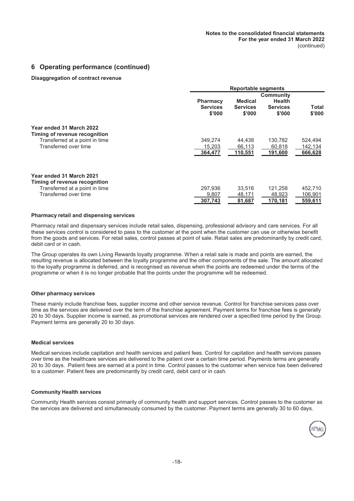# **6 Operating performance (continued)**

#### **Disaggregation of contract revenue**

|                                                                                                                      |                                              | <b>Reportable segments</b>                  |                                                                |                               |
|----------------------------------------------------------------------------------------------------------------------|----------------------------------------------|---------------------------------------------|----------------------------------------------------------------|-------------------------------|
|                                                                                                                      | <b>Pharmacy</b><br><b>Services</b><br>\$'000 | <b>Medical</b><br><b>Services</b><br>\$'000 | <b>Community</b><br><b>Health</b><br><b>Services</b><br>\$'000 | Total<br>\$'000               |
| Year ended 31 March 2022<br>Timing of revenue recognition<br>Transferred at a point in time<br>Transferred over time | 349.274<br>15,203<br>364,477                 | 44.438<br>66,113<br>110,551                 | 130.782<br>60,818<br>191,600                                   | 524,494<br>142,134<br>666,628 |
| Year ended 31 March 2021<br>Timing of revenue recognition<br>Transferred at a point in time<br>Transferred over time | 297.936<br>9,807<br>307,743                  | 33,516<br>48,171<br>81,687                  | 121,258<br>48,923<br>170,181                                   | 452,710<br>106,901<br>559,611 |

#### **Pharmacy retail and dispensing services**

Pharmacy retail and dispensary services include retail sales, dispensing, professional advisory and care services. For all these services control is considered to pass to the customer at the point when the customer can use or otherwise benefit from the goods and services. For retail sales, control passes at point of sale. Retail sales are predominantly by credit card, debit card or in cash.

The Group operates its own Living Rewards loyalty programme. When a retail sale is made and points are earned, the resulting revenue is allocated between the loyalty programme and the other components of the sale. The amount allocated to the loyalty programme is deferred, and is recognised as revenue when the points are redeemed under the terms of the programme or when it is no longer probable that the points under the programme will be redeemed.

#### **Other pharmacy services**

These mainly include franchise fees, supplier income and other service revenue. Control for franchise services pass over time as the services are delivered over the term of the franchise agreement. Payment terms for franchise fees is generally 20 to 30 days. Supplier income is earned, as promotional services are rendered over a specified time period by the Group. Payment terms are generally 20 to 30 days.

#### **Medical services**

Medical services include capitation and health services and patient fees. Control for capitation and health services passes over time as the healthcare services are delivered to the patient over a certain time period. Payments terms are generally 20 to 30 days. Patient fees are earned at a point in time. Control passes to the customer when service has been delivered to a customer. Patient fees are predominantly by credit card, debit card or in cash.

#### **Community Health services**

Community Health services consist primarily of community health and support services. Control passes to the customer as the services are delivered and simultaneously consumed by the customer. Payment terms are generally 30 to 60 days.

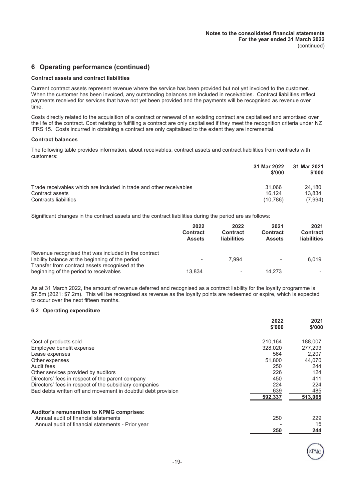# **6 Operating performance (continued)**

#### **Contract assets and contract liabilities**

Current contract assets represent revenue where the service has been provided but not yet invoiced to the customer. When the customer has been invoiced, any outstanding balances are included in receivables. Contract liabilities reflect payments received for services that have not yet been provided and the payments will be recognised as revenue over time.

Costs directly related to the acquisition of a contract or renewal of an existing contract are capitalised and amortised over the life of the contract. Cost relating to fulfilling a contract are only capitalised if they meet the recognition criteria under NZ IFRS 15. Costs incurred in obtaining a contract are only capitalised to the extent they are incremental.

#### **Contract balances**

The following table provides information, about receivables, contract assets and contract liabilities from contracts with customers:

|                                                                     | 31 Mar 2022<br>\$'000 | 31 Mar 2021<br>\$'000 |
|---------------------------------------------------------------------|-----------------------|-----------------------|
| Trade receivables which are included in trade and other receivables | 31.066                | 24.180                |
| Contract assets                                                     | 16.124                | 13.834                |
| Contracts liabilities                                               | (10.786)              | (7.994)               |

Significant changes in the contract assets and the contract liabilities during the period are as follows:

|                                                                                                          | 2022<br><b>Contract</b><br><b>Assets</b> | 2022<br><b>Contract</b><br>liabilities | 2021<br><b>Contract</b><br><b>Assets</b> | 2021<br><b>Contract</b><br>liabilities |
|----------------------------------------------------------------------------------------------------------|------------------------------------------|----------------------------------------|------------------------------------------|----------------------------------------|
| Revenue recognised that was included in the contract<br>liability balance at the beginning of the period |                                          | 7.994                                  | ۰                                        | 6.019                                  |
| Transfer from contract assets recognised at the<br>beginning of the period to receivables                | 13.834                                   |                                        | 14.273                                   |                                        |

As at 31 March 2022, the amount of revenue deferred and recognised as a contract liability for the loyalty programme is \$7.5m (2021: \$7.2m). This will be recognised as revenue as the loyalty points are redeemed or expire, which is expected to occur over the next fifteen months.

#### **6.2 Operating expenditure**

|                                                               | 2022<br>\$'000 | 2021<br>\$'000 |
|---------------------------------------------------------------|----------------|----------------|
| Cost of products sold                                         | 210.164        | 188.007        |
| Employee benefit expense                                      | 328,020        | 277,293        |
| Lease expenses                                                | 564            | 2,207          |
| Other expenses                                                | 51,800         | 44.070         |
| Audit fees                                                    | 250            | 244            |
| Other services provided by auditors                           | 226            | 124            |
| Directors' fees in respect of the parent company              | 450            | 411            |
| Directors' fees in respect of the subsidiary companies        | 224            | 224            |
| Bad debts written off and movement in doubtful debt provision | 639            | 485            |
|                                                               | 592,337        | 513,065        |
| <b>Auditor's remuneration to KPMG comprises:</b>              |                |                |
| Annual audit of financial statements                          | 250            | 229            |
| Annual audit of financial statements - Prior year             |                | 15             |
|                                                               | 250            | 244            |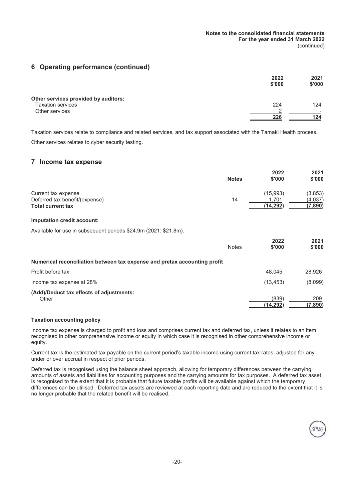# **6 Operating performance (continued)**

|                                      | 2022   | 2021   |
|--------------------------------------|--------|--------|
|                                      | \$'000 | \$'000 |
| Other services provided by auditors: |        |        |
| <b>Taxation services</b>             | 224    | 124    |
| Other services                       | $\sim$ |        |
|                                      | 226    | 124    |

Taxation services relate to compliance and related services, and tax support associated with the Tamaki Health process. Other services relates to cyber security testing.

### **7 Income tax expense**

|                                | <b>Notes</b> | 2022<br>\$'000 | 2021<br>\$'000 |
|--------------------------------|--------------|----------------|----------------|
| Current tax expense            |              | (15.993)       | (3,853)        |
| Deferred tax benefit/(expense) | 14           | .701           | (4.037)        |
| <b>Total current tax</b>       |              | (14.292)       | (7,890)        |

#### **Imputation credit account:**

Available for use in subsequent periods \$24.9m (2021: \$21.8m).

|                                                                           | <b>Notes</b> | 2022<br>\$'000    | 2021<br>\$'000 |
|---------------------------------------------------------------------------|--------------|-------------------|----------------|
| Numerical reconciliation between tax expense and pretax accounting profit |              |                   |                |
| Profit before tax                                                         |              | 48.045            | 28.926         |
| Income tax expense at 28%                                                 |              | (13, 453)         | (8,099)        |
| (Add)/Deduct tax effects of adjustments:<br>Other                         |              | (839)<br>(14.292) | 209<br>(7,890) |

#### **Taxation accounting policy**

Income tax expense is charged to profit and loss and comprises current tax and deferred tax, unless it relates to an item recognised in other comprehensive income or equity in which case it is recognised in other comprehensive income or equity.

Current tax is the estimated tax payable on the current period's taxable income using current tax rates, adjusted for any under or over accrual in respect of prior periods.

Deferred tax is recognised using the balance sheet approach, allowing for temporary differences between the carrying amounts of assets and liabilities for accounting purposes and the carrying amounts for tax purposes. A deferred tax asset is recognised to the extent that it is probable that future taxable profits will be available against which the temporary differences can be utilised. Deferred tax assets are reviewed at each reporting date and are reduced to the extent that it is no longer probable that the related benefit will be realised.

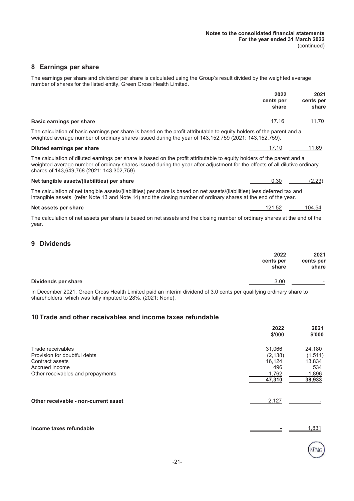# **8 Earnings per share**

The earnings per share and dividend per share is calculated using the Group's result divided by the weighted average number of shares for the listed entity, Green Cross Health Limited.

|                                                                                                                                                                                                                                                                                                      | 2022<br>cents per<br>share | 2021<br>cents per<br>share |
|------------------------------------------------------------------------------------------------------------------------------------------------------------------------------------------------------------------------------------------------------------------------------------------------------|----------------------------|----------------------------|
| Basic earnings per share                                                                                                                                                                                                                                                                             | 17.16                      | 11.70                      |
| The calculation of basic earnings per share is based on the profit attributable to equity holders of the parent and a<br>weighted average number of ordinary shares issued during the year of 143,152,759 (2021: 143,152,759).                                                                       |                            |                            |
| Diluted earnings per share                                                                                                                                                                                                                                                                           | 17.10                      | 11.69                      |
| The calculation of diluted earnings per share is based on the profit attributable to equity holders of the parent and a<br>weighted average number of ordinary shares issued during the year after adjustment for the effects of all dilutive ordinary<br>shares of 143,649,768 (2021: 143,302,759). |                            |                            |
| Net tangible assets/(liabilities) per share                                                                                                                                                                                                                                                          | 0.30                       | (2.23)                     |
| The calculation of net tangible assets/(liabilities) per share is based on net assets/(liabilities) less deferred tax and<br>intangible assets (refer Note 13 and Note 14) and the closing number of ordinary shares at the end of the year.                                                         |                            |                            |
| Net assets per share                                                                                                                                                                                                                                                                                 | 121.52                     | 104.54                     |
| The calculation of net assets per share is based on net assets and the closing number of ordinary shares at the end of the<br>year.                                                                                                                                                                  |                            |                            |
| <b>Dividends</b><br>9                                                                                                                                                                                                                                                                                |                            |                            |
|                                                                                                                                                                                                                                                                                                      | 2022<br>cents per          | 2021<br>cents per          |

|                                                                                                                     | share | share |
|---------------------------------------------------------------------------------------------------------------------|-------|-------|
| Dividends per share                                                                                                 |       | -     |
| In December 2021, Green Cross Health Limited paid an interim dividend of 3.0 cents per qualifying ordinary share to |       |       |

In December 2021, Green Cross Health Limited paid an interim dividend of 3.0 cents per qualifying ordinary share to shareholders, which was fully imputed to 28%. (2021: None).

# **10 Trade and other receivables and income taxes refundable**

|                                      | 2022<br>\$'000 | 2021<br>\$'000 |
|--------------------------------------|----------------|----------------|
| Trade receivables                    | 31,066         | 24,180         |
| Provision for doubtful debts         | (2, 138)       | (1, 511)       |
| Contract assets                      | 16,124         | 13,834         |
| Accrued income                       | 496            | 534            |
| Other receivables and prepayments    | 1,762          | 1,896          |
|                                      | 47,310         | 38,933         |
| Other receivable - non-current asset | 2,127          |                |
| Income taxes refundable              |                | 1,831          |

KPMC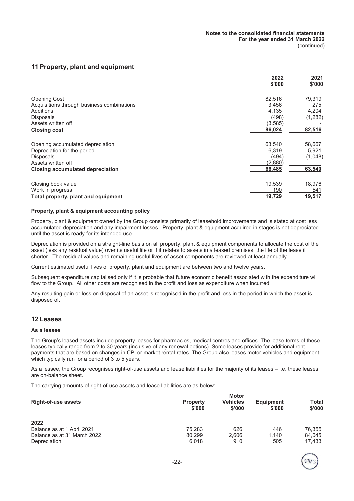# **11 Property, plant and equipment**

|                                            | 2022    | 2021    |
|--------------------------------------------|---------|---------|
|                                            | \$'000  | \$'000  |
| <b>Opening Cost</b>                        | 82,516  | 79,319  |
| Acquisitions through business combinations | 3.456   | 275     |
| Additions                                  | 4.135   | 4,204   |
| <b>Disposals</b>                           | (498)   | (1,282) |
| Assets written off                         | (3,585) |         |
| <b>Closing cost</b>                        | 86,024  | 82,516  |
| Opening accumulated depreciation           | 63,540  | 58,667  |
| Depreciation for the period                | 6.319   | 5,921   |
| <b>Disposals</b>                           | (494)   | (1,048) |
| Assets written off                         | (2,880) |         |
| <b>Closing accumulated depreciation</b>    | 66,485  | 63,540  |
| Closing book value                         | 19,539  | 18,976  |
| Work in progress                           | 190     | 541     |
| Total property, plant and equipment        | 19,729  | 19,517  |

#### **Property, plant & equipment accounting policy**

Property, plant & equipment owned by the Group consists primarily of leasehold improvements and is stated at cost less accumulated depreciation and any impairment losses. Property, plant & equipment acquired in stages is not depreciated until the asset is ready for its intended use.

Depreciation is provided on a straight-line basis on all property, plant & equipment components to allocate the cost of the asset (less any residual value) over its useful life or if it relates to assets in a leased premises, the life of the lease if shorter. The residual values and remaining useful lives of asset components are reviewed at least annually.

Current estimated useful lives of property, plant and equipment are between two and twelve years.

Subsequent expenditure capitalised only if it is probable that future economic benefit associated with the expenditure will flow to the Group. All other costs are recognised in the profit and loss as expenditure when incurred.

Any resulting gain or loss on disposal of an asset is recognised in the profit and loss in the period in which the asset is disposed of.

# **12 Leases**

#### **As a lessee**

The Group's leased assets include property leases for pharmacies, medical centres and offices. The lease terms of these leases typically range from 2 to 30 years (inclusive of any renewal options). Some leases provide for additional rent payments that are based on changes in CPI or market rental rates. The Group also leases motor vehicles and equipment, which typically run for a period of 3 to 5 years.

As a lessee, the Group recognises right-of-use assets and lease liabilities for the majority of its leases – i.e. these leases are on-balance sheet.

The carrying amounts of right-of-use assets and lease liabilities are as below:

| <b>Right-of-use assets</b>  | <b>Property</b><br>\$'000 | <b>Motor</b><br><b>Vehicles</b><br>\$'000 | <b>Equipment</b><br>\$'000 | <b>Total</b><br>\$'000 |
|-----------------------------|---------------------------|-------------------------------------------|----------------------------|------------------------|
| 2022                        |                           |                                           |                            |                        |
| Balance as at 1 April 2021  | 75.283                    | 626                                       | 446                        | 76.355                 |
| Balance as at 31 March 2022 | 80.299                    | 2.606                                     | 1.140                      | 84.045                 |
| Depreciation                | 16.018                    | 910                                       | 505                        | 17.433                 |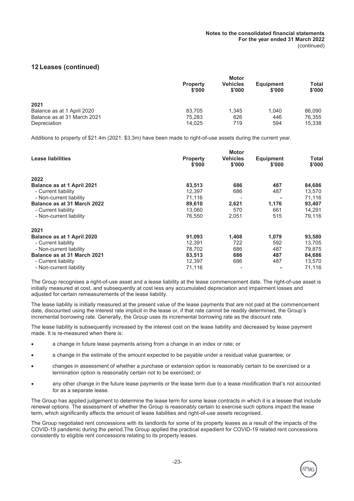# **12 Leases (continued)**

|                             | <b>Property</b><br>\$'000 | <b>Motor</b><br><b>Vehicles</b><br>\$'000 | <b>Equipment</b><br>\$'000 | Total<br>\$'000 |
|-----------------------------|---------------------------|-------------------------------------------|----------------------------|-----------------|
| 2021                        |                           |                                           |                            |                 |
| Balance as at 1 April 2020  | 83.705                    | 1.345                                     | 1.040                      | 86.090          |
| Balance as at 31 March 2021 | 75.283                    | 626                                       | 446                        | 76.355          |
| Depreciation                | 14.025                    | 719                                       | 594                        | 15.338          |

Additions to property of \$21.4m (2021: \$3.3m) have been made to right-of-use assets during the current year.

|                             |                           | <b>Motor</b>              |                            |                 |
|-----------------------------|---------------------------|---------------------------|----------------------------|-----------------|
| Lease liabilities           | <b>Property</b><br>\$'000 | <b>Vehicles</b><br>\$'000 | <b>Equipment</b><br>\$'000 | Total<br>\$'000 |
| 2022                        |                           |                           |                            |                 |
| Balance as at 1 April 2021  | 83,513                    | 686                       | 487                        | 84,686          |
| - Current liability         | 12,397                    | 686                       | 487                        | 13,570          |
| - Non-current liability     | 71,116                    |                           |                            | 71,116          |
| Balance as at 31 March 2022 | 89,610                    | 2,621                     | 1,176                      | 93,407          |
| - Current liability         | 13,060                    | 570                       | 661                        | 14,291          |
| - Non-current liability     | 76,550                    | 2,051                     | 515                        | 79,116          |
| 2021                        |                           |                           |                            |                 |
| Balance as at 1 April 2020  | 91,093                    | 1,408                     | 1,079                      | 93,580          |
| - Current liability         | 12,391                    | 722                       | 592                        | 13,705          |
| - Non-current liability     | 78,702                    | 686                       | 487                        | 79,875          |
| Balance as at 31 March 2021 | 83,513                    | 686                       | 487                        | 84,686          |
| - Current liability         | 12,397                    | 686                       | 487                        | 13,570          |
| - Non-current liability     | 71.116                    |                           |                            | 71,116          |

The Group recognises a right-of-use asset and a lease liability at the lease commencement date. The right-of-use asset is initially measured at cost, and subsequently at cost less any accumulated depreciation and impairment losses and adjusted for certain remeasurements of the lease liability.

The lease liability is initially measured at the present value of the lease payments that are not paid at the commencement date, discounted using the interest rate implicit in the lease or, if that rate cannot be readily determined, the Group's incremental borrowing rate. Generally, the Group uses its incremental borrowing rate as the discount rate.

The lease liability is subsequently increased by the interest cost on the lease liability and decreased by lease payment made. It is re-measured when there is:

- a change in future lease payments arising from a change in an index or rate; or
- a change in the estimate of the amount expected to be payable under a residual value guarantee; or
- changes in assessment of whether a purchase or extension option is reasonably certain to be exercised or a termination option is reasonably certain not to be exercised; or
- any other change in the future lease payments or the lease term due to a lease modification that's not accounted for as a separate lease.

The Group has applied judgement to determine the lease term for some lease contracts in which it is a lessee that include renewal options. The assessment of whether the Group is reasonably certain to exercise such options impact the lease term, which significantly affects the amount of lease liabilities and right-of-use assets recognised.

The Group negotiated rent concessions with its landlords for some of its property leases as a result of the impacts of the COVID-19 pandemic during the period.The Group applied the practical expedient for COVID-19 related rent concessions consistently to eligible rent concessions relating to its property leases.

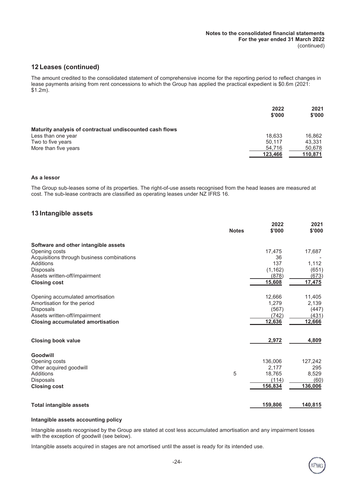# **12 Leases (continued)**

The amount credited to the consolidated statement of comprehensive income for the reporting period to reflect changes in lease payments arising from rent concessions to which the Group has applied the practical expedient is \$0.6m (2021: \$1.2m).

|                                                          | 2022<br>\$'000 | 2021<br>\$'000 |
|----------------------------------------------------------|----------------|----------------|
| Maturity analysis of contractual undiscounted cash flows |                |                |
| Less than one year                                       | 18.633         | 16.862         |
| Two to five years                                        | 50.117         | 43.331         |
| More than five years                                     | 54.716         | 50,678         |
|                                                          | 123,466        | 110,871        |

#### **As a lessor**

The Group sub-leases some of its properties. The right-of-use assets recognised from the head leases are measured at cost. The sub-lease contracts are classified as operating leases under NZ IFRS 16.

#### **13 Intangible assets**

|                                                      | <b>Notes</b> | 2022<br>\$'000    | 2021<br>\$'000         |
|------------------------------------------------------|--------------|-------------------|------------------------|
| Software and other intangible assets                 |              |                   |                        |
| Opening costs                                        |              | 17,475            | 17,687                 |
| Acquisitions through business combinations           |              | 36                |                        |
| <b>Additions</b>                                     |              | 137               | 1,112                  |
| Disposals                                            |              | (1, 162)<br>(878) | (651)                  |
| Assets written-off/impairment<br><b>Closing cost</b> |              | 15,608            | <u>(673)</u><br>17,475 |
|                                                      |              |                   |                        |
| Opening accumulated amortisation                     |              | 12,666            | 11,405                 |
| Amortisation for the period                          |              | 1,279             | 2,139                  |
| <b>Disposals</b>                                     |              | (567)             | (447)                  |
| Assets written-off/impairment                        |              | (742)             | (431)                  |
| <b>Closing accumulated amortisation</b>              |              | 12,636            | 12,666                 |
| <b>Closing book value</b>                            |              | 2,972             | 4,809                  |
| Goodwill                                             |              |                   |                        |
| Opening costs                                        |              | 136,006           | 127,242                |
| Other acquired goodwill                              |              | 2,177             | 295                    |
| <b>Additions</b>                                     | 5            | 18.765            | 8,529                  |
| Disposals                                            |              | (114)             | (60)                   |
| <b>Closing cost</b>                                  |              | 156,834           | 136,006                |
| <b>Total intangible assets</b>                       |              | 159,806           | 140,815                |

#### **Intangible assets accounting policy**

Intangible assets recognised by the Group are stated at cost less accumulated amortisation and any impairment losses with the exception of goodwill (see below).

Intangible assets acquired in stages are not amortised until the asset is ready for its intended use.

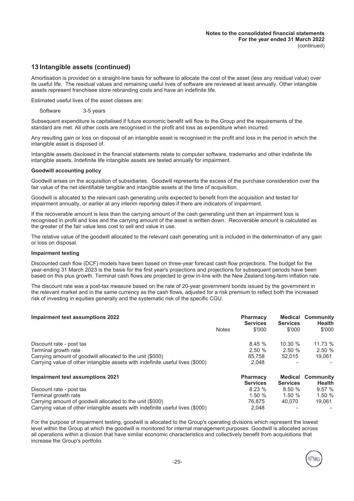# **13 Intangible assets (continued)**

Amortisation is provided on a straight-line basis for software to allocate the cost of the asset (less any residual value) over its useful life. The residual values and remaining useful lives of software are reviewed at least annually. Other intangible assets represent franchisee store rebranding costs and have an indefinite life.

Estimated useful lives of the asset classes are:

Software 3-5 years

Subsequent expenditure is capitalised if future economic benefit will flow to the Group and the requirements of the standard are met. All other costs are recognised in the profit and loss as expenditure when incurred.

Any resulting gain or loss on disposal of an intangible asset is recognised in the profit and loss in the period in which the intangible asset is disposed of.

Intangible assets disclosed in the financial statements relate to computer software, trademarks and other indefinite life intangible assets. Indefinite life intangible assets are tested annually for impairment.

#### **Goodwill accounting policy**

Goodwill arises on the acquisition of subsidiaries. Goodwill represents the excess of the purchase consideration over the fair value of the net identifiable tangible and intangible assets at the time of acquisition.

Goodwill is allocated to the relevant cash generating units expected to benefit from the acquisition and tested for impairment annually, or earlier at any interim reporting dates if there are indicators of impairment.

If the recoverable amount is less than the carrying amount of the cash generating unit then an impairment loss is recognised in profit and loss and the carrying amount of the asset is written down. Recoverable amount is calculated as the greater of the fair value less cost to sell and value in use.

The relative value of the goodwill allocated to the relevant cash generating unit is included in the determination of any gain or loss on disposal.

#### **Impairment testing**

Discounted cash flow (DCF) models have been based on three-year forecast cash flow projections. The budget for the year-ending 31 March 2023 is the basis for the first year's projections and projections for subsequent periods have been based on this plus growth. Terminal cash flows are projected to grow in-line with the New Zealand long-term inflation rate.

The discount rate was a post-tax measure based on the rate of 20-year government bonds issued by the government in the relevant market and in the same currency as the cash flows, adjusted for a risk premium to reflect both the increased risk of investing in equities generally and the systematic risk of the specific CGU.

| Impairment test assumptions 2022                                               |              | <b>Pharmacy</b><br><b>Services</b> | <b>Services</b> | <b>Medical Community</b><br><b>Health</b> |
|--------------------------------------------------------------------------------|--------------|------------------------------------|-----------------|-------------------------------------------|
|                                                                                | <b>Notes</b> | \$'000                             | \$'000          | \$'000                                    |
| Discount rate - post tax                                                       |              | 8.45%                              | 10.30%          | 11.73%                                    |
| Terminal growth rate                                                           |              | 2.50%                              | 2.50%           | 2.50%                                     |
| Carrying amount of goodwill allocated to the unit (\$000)                      |              | 85.758                             | 52.015          | 19.061                                    |
| Carrying value of other intangible assets with indefinite useful lives (\$000) |              | 2,048                              |                 |                                           |
| Impairment test assumptions 2021                                               |              | <b>Pharmacy</b>                    |                 | <b>Medical Community</b>                  |
|                                                                                |              | <b>Services</b>                    | <b>Services</b> | <b>Health</b>                             |
| Discount rate - post tax                                                       |              | 8.23%                              | 8.50%           | 9.57%                                     |
| Terminal growth rate                                                           |              | 1.50%                              | 1.50%           | 1.50%                                     |
| Carrying amount of goodwill allocated to the unit (\$000)                      |              | 76.875                             | 40.070          | 19.061                                    |
| Carrying value of other intangible assets with indefinite useful lives (\$000) |              | 2.048                              |                 |                                           |

For the purpose of impairment testing, goodwill is allocated to the Group's operating divisions which represent the lowest level within the Group at which the goodwill is monitored for internal management purposes. Goodwill is allocated across all operations within a division that have similar economic characteristics and collectively benefit from acquisitions that increase the Group's portfolio.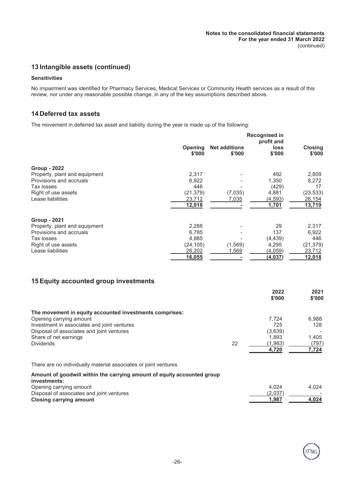# **13 Intangible assets (continued)**

#### **Sensitivities**

No impairment was identified for Pharmacy Services, Medical Services or Community Health services as a result of this review, nor under any reasonable possible change, in any of the key assumptions described above.

# **14 Deferred tax assets**

The movement in deferred tax asset and liability during the year is made up of the following:

|                               | Recognised in<br>profit and |                                |                       |                          |
|-------------------------------|-----------------------------|--------------------------------|-----------------------|--------------------------|
|                               | <b>Opening</b><br>\$'000    | <b>Net additions</b><br>\$'000 | <b>loss</b><br>\$'000 | <b>Closing</b><br>\$'000 |
| <b>Group - 2022</b>           |                             |                                |                       |                          |
| Property, plant and equipment | 2,317                       |                                | 492                   | 2,809                    |
| Provisions and accruals       | 6.922                       |                                | 1,350                 | 8,272                    |
| Tax losses                    | 446                         |                                | (429)                 | 17                       |
| Right of use assets           | (21, 379)                   | (7,035)                        | 4,881                 | (23,533)                 |
| Lease liabilities             | 23,712                      | 7,035                          | (4,593)               | 26,154                   |
|                               | 12,018                      |                                | 1,701                 | 13,719                   |
| <b>Group - 2021</b>           |                             |                                |                       |                          |
| Property, plant and equipment | 2,288                       |                                | 29                    | 2,317                    |
| Provisions and accruals       | 6,785                       |                                | 137                   | 6,922                    |
| Tax losses                    | 4,885                       |                                | (4, 439)              | 446                      |
| Right of use assets           | (24, 105)                   | (1, 569)                       | 4,295                 | (21, 379)                |
| Lease liabilities             | 26,202                      | 1,569                          | (4,059)               | 23,712                   |
|                               | 16,055                      |                                | (4,037)               | 12,018                   |

# **15 Equity accounted group investments**

**Closing carrying amount 1,987 4,024**

|                                                                                         |    | 2022<br>\$'000 | 2021<br>\$'000 |
|-----------------------------------------------------------------------------------------|----|----------------|----------------|
|                                                                                         |    |                |                |
| The movement in equity accounted investments comprises:<br>Opening carrying amount      |    | 7.724          | 6,988          |
| Investment in associates and joint ventures                                             |    | 725            | 128            |
| Disposal of associates and joint ventures                                               |    | (3,639)        |                |
| Share of net earnings                                                                   |    | 1,893          | 1,405          |
| <b>Dividends</b>                                                                        | 22 | (1,983)        | (797)          |
|                                                                                         |    | 4,720          | 7,724          |
| There are no individually material associates or joint ventures.                        |    |                |                |
| Amount of goodwill within the carrying amount of equity accounted group<br>investments: |    |                |                |
| Opening carrying amount                                                                 |    | 4.024          | 4,024          |
| Disposal of associates and joint ventures                                               |    | (2,037)        |                |
| Closing carrying amount                                                                 |    | 1.987          | 4.024          |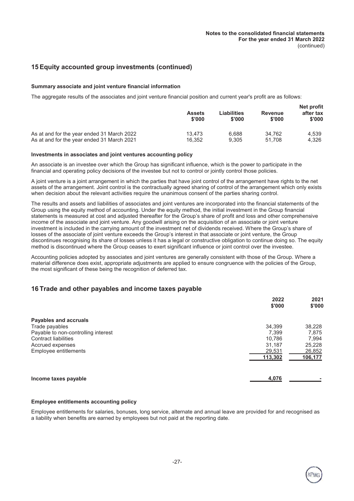# **15 Equity accounted group investments (continued)**

#### **Summary associate and joint venture financial information**

The aggregate results of the associates and joint venture financial position and current year's profit are as follows:

|                                            | <b>Assets</b><br>\$'000 | Liabilities<br>\$'000 | <b>Revenue</b><br>\$'000 | <b>Net profit</b><br>after tax<br>\$'000 |
|--------------------------------------------|-------------------------|-----------------------|--------------------------|------------------------------------------|
| As at and for the year ended 31 March 2022 | 13.473                  | 6.688                 | 34.762                   | 4.539                                    |
| As at and for the year ended 31 March 2021 | 16.352                  | 9.305                 | 51.708                   | 4.326                                    |

#### **Investments in associates and joint ventures accounting policy**

An associate is an investee over which the Group has significant influence, which is the power to participate in the financial and operating policy decisions of the investee but not to control or jointly control those policies.

A joint venture is a joint arrangement in which the parties that have joint control of the arrangement have rights to the net assets of the arrangement. Joint control is the contractually agreed sharing of control of the arrangement which only exists when decision about the relevant activities require the unanimous consent of the parties sharing control.

The results and assets and liabilities of associates and joint ventures are incorporated into the financial statements of the Group using the equity method of accounting. Under the equity method, the initial investment in the Group financial statements is measured at cost and adjusted thereafter for the Group's share of profit and loss and other comprehensive income of the associate and joint venture. Any goodwill arising on the acquisition of an associate or joint venture investment is included in the carrying amount of the investment net of dividends received. Where the Group's share of losses of the associate of joint venture exceeds the Group's interest in that associate or joint venture, the Group discontinues recognising its share of losses unless it has a legal or constructive obligation to continue doing so. The equity method is discontinued where the Group ceases to exert significant influence or joint control over the investee.

Accounting policies adopted by associates and joint ventures are generally consistent with those of the Group. Where a material difference does exist, appropriate adjustments are applied to ensure congruence with the policies of the Group, the most significant of these being the recognition of deferred tax.

# **16 Trade and other payables and income taxes payable**

|                                     | 2022<br>\$'000 | 2021<br>\$'000 |
|-------------------------------------|----------------|----------------|
| Payables and accruals               |                |                |
| Trade payables                      | 34,399         | 38,228         |
| Payable to non-controlling interest | 7.399          | 7,875          |
| <b>Contract liabilities</b>         | 10,786         | 7,994          |
| Accrued expenses                    | 31,187         | 25,228         |
| Employee entitlements               | 29,531         | 26,852         |
|                                     | 113,302        | 106,177        |
| Income taxes payable                | 4,076          |                |

#### **Employee entitlements accounting policy**

Employee entitlements for salaries, bonuses, long service, alternate and annual leave are provided for and recognised as a liability when benefits are earned by employees but not paid at the reporting date.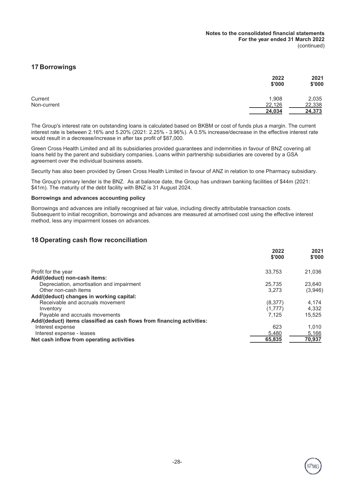# **17 Borrowings**

|             | 2022   | 2021   |
|-------------|--------|--------|
|             | \$'000 | \$'000 |
| Current     | 1,908  | 2,035  |
| Non-current | 22,126 | 22,338 |
|             | 24,034 | 24,373 |

The Group's interest rate on outstanding loans is calculated based on BKBM or cost of funds plus a margin. The current interest rate is between 2.16% and 5.20% (2021: 2.25% - 3.96%). A 0.5% increase/decrease in the effective interest rate would result in a decrease/increase in after tax profit of \$87,000.

Green Cross Health Limited and all its subsidiaries provided guarantees and indemnities in favour of BNZ covering all loans held by the parent and subsidiary companies. Loans within partnership subsidiaries are covered by a GSA agreement over the individual business assets.

Security has also been provided by Green Cross Health Limited in favour of ANZ in relation to one Pharmacy subsidiary.

The Group's primary lender is the BNZ. As at balance date, the Group has undrawn banking facilities of \$44m (2021: \$41m). The maturity of the debt facility with BNZ is 31 August 2024.

#### **Borrowings and advances accounting policy**

Borrowings and advances are initially recognised at fair value, including directly attributable transaction costs. Subsequent to initial recognition, borrowings and advances are measured at amortised cost using the effective interest method, less any impairment losses on advances.

# **18 Operating cash flow reconciliation**

|                                                                        | 2022<br>\$'000 | 2021<br>\$'000 |
|------------------------------------------------------------------------|----------------|----------------|
| Profit for the year                                                    | 33.753         | 21.036         |
| Add/(deduct) non-cash items:                                           |                |                |
| Depreciation, amortisation and impairment                              | 25.735         | 23.640         |
| Other non-cash items                                                   | 3.273          | (3,946)        |
| Add/(deduct) changes in working capital:                               |                |                |
| Receivable and accruals movement                                       | (8,377)        | 4.174          |
| Inventory                                                              | (1,777)        | 4,332          |
| Payable and accruals movements                                         | 7.125          | 15.525         |
| Add/(deduct) items classified as cash flows from financing activities: |                |                |
| Interest expense                                                       | 623            | 1.010          |
| Interest expense - leases                                              | 5,480          | 5,166          |
| Net cash inflow from operating activities                              | 65,835         | 70,937         |

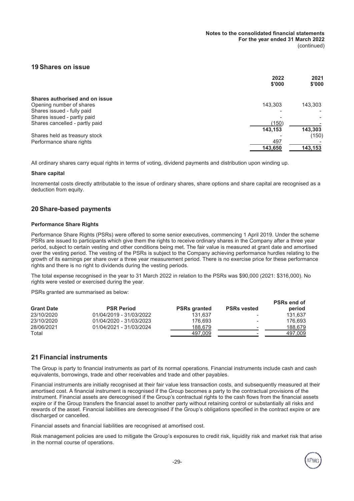#### **19 Shares on issue**

|                                | 2022<br>\$'000 | 2021<br>\$'000 |
|--------------------------------|----------------|----------------|
| Shares authorised and on issue |                |                |
| Opening number of shares       | 143.303        | 143,303        |
| Shares issued - fully paid     |                |                |
| Shares issued - partly paid    |                |                |
| Shares cancelled - partly paid | (150)          |                |
|                                | 143,153        | 143,303        |
| Shares held as treasury stock  |                | (150)          |
| Performance share rights       | 497            |                |
|                                | 143,650        | 143,153        |

All ordinary shares carry equal rights in terms of voting, dividend payments and distribution upon winding up.

#### **Share capital**

Incremental costs directly attributable to the issue of ordinary shares, share options and share capital are recognised as a deduction from equity.

#### **20 Share-based payments**

#### **Performance Share Rights**

Performance Share Rights (PSRs) were offered to some senior executives, commencing 1 April 2019. Under the scheme PSRs are issued to participants which give them the rights to receive ordinary shares in the Company after a three year period, subject to certain vesting and other conditions being met. The fair value is measured at grant date and amortised over the vesting period. The vesting of the PSRs is subject to the Company achieving performance hurdles relating to the growth of its earnings per share over a three year measurement period. There is no exercise price for these performance rights and there is no right to dividends during the vesting periods.

The total expense recognised in the year to 31 March 2022 in relation to the PSRs was \$90,000 (2021: \$316,000). No rights were vested or exercised during the year.

PSRs granted are summarised as below:

| <b>Grant Date</b> | <b>PSR Period</b>       | <b>PSRs granted</b> | <b>PSRs vested</b>       | <b>PSRs end of</b><br>period |
|-------------------|-------------------------|---------------------|--------------------------|------------------------------|
| 23/10/2020        | 01/04/2019 - 31/03/2022 | 131.637             | $\overline{\phantom{a}}$ | 131.637                      |
| 23/10/2020        | 01/04/2020 - 31/03/2023 | 176.693             | $\overline{\phantom{a}}$ | 176.693                      |
| 28/06/2021        | 01/04/2021 - 31/03/2024 | 188.679             | $\overline{\phantom{0}}$ | 188,679                      |
| Total             |                         | 497,009             | $\overline{\phantom{a}}$ | 497,009                      |

# **21 Financial instruments**

The Group is party to financial instruments as part of its normal operations. Financial instruments include cash and cash equivalents, borrowings, trade and other receivables and trade and other payables.

Financial instruments are initially recognised at their fair value less transaction costs, and subsequently measured at their amortised cost. A financial instrument is recognised if the Group becomes a party to the contractual provisions of the instrument. Financial assets are derecognised if the Group's contractual rights to the cash flows from the financial assets expire or if the Group transfers the financial asset to another party without retaining control or substantially all risks and rewards of the asset. Financial liabilities are derecognised if the Group's obligations specified in the contract expire or are discharged or cancelled.

Financial assets and financial liabilities are recognised at amortised cost.

Risk management policies are used to mitigate the Group's exposures to credit risk, liquidity risk and market risk that arise in the normal course of operations.

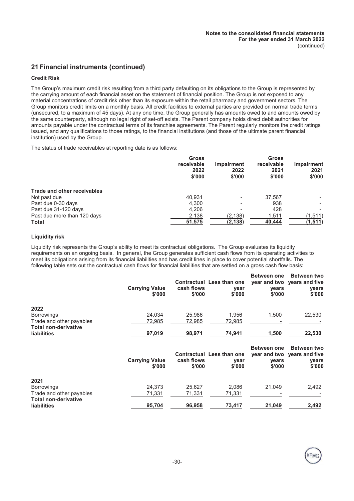# **21 Financial instruments (continued)**

#### **Credit Risk**

The Group's maximum credit risk resulting from a third party defaulting on its obligations to the Group is represented by the carrying amount of each financial asset on the statement of financial position. The Group is not exposed to any material concentrations of credit risk other than its exposure within the retail pharmacy and government sectors. The Group monitors credit limits on a monthly basis. All credit facilities to external parties are provided on normal trade terms (unsecured, to a maximum of 45 days). At any one time, the Group generally has amounts owed to and amounts owed by the same counterparty, although no legal right of set-off exists. The Parent company holds direct debit authorities for amounts payable under the contractual terms of its franchise agreements. The Parent regularly monitors the credit ratings issued, and any qualifications to those ratings, to the financial institutions (and those of the ultimate parent financial institution) used by the Group.

The status of trade receivables at reporting date is as follows:

|                             | <b>Gross</b><br>receivable<br>2022<br>\$'000 | Impairment<br>2022<br>\$'000 | <b>Gross</b><br>receivable<br>2021<br>\$'000 | Impairment<br>2021<br>\$'000 |
|-----------------------------|----------------------------------------------|------------------------------|----------------------------------------------|------------------------------|
| Trade and other receivables |                                              |                              |                                              |                              |
| Not past due                | 40.931                                       |                              | 37.567                                       |                              |
| Past due 0-30 days          | 4,300                                        |                              | 938                                          |                              |
| Past due 31-120 days        | 4,206                                        |                              | 428                                          |                              |
| Past due more than 120 days | 2,138                                        | (2, 138)                     | 1,511                                        | (1, 511)                     |
| Total                       | 51,575                                       | (2, 138)                     | 40,444                                       | (1, 511)                     |

#### **Liquidity risk**

Liquidity risk represents the Group's ability to meet its contractual obligations. The Group evaluates its liquidity requirements on an ongoing basis. In general, the Group generates sufficient cash flows from its operating activities to meet its obligations arising from its financial liabilities and has credit lines in place to cover potential shortfalls. The following table sets out the contractual cash flows for financial liabilities that are settled on a gross cash flow basis:

|                                                         | <b>Carrying Value</b><br>\$'000 | cash flows<br>\$'000 | Contractual Less than one<br>year<br>\$'000        | <b>Between one</b><br>vears<br>\$'000 | <b>Between two</b><br>year and two years and five<br>years<br>\$'000 |
|---------------------------------------------------------|---------------------------------|----------------------|----------------------------------------------------|---------------------------------------|----------------------------------------------------------------------|
| 2022                                                    |                                 |                      |                                                    |                                       |                                                                      |
| <b>Borrowings</b>                                       | 24.034                          | 25,986               | 1.956                                              | 1,500                                 | 22,530                                                               |
| Trade and other payables                                | 72,985                          | 72,985               | 72,985                                             |                                       |                                                                      |
| <b>Total non-derivative</b><br><b>liabilities</b>       | 97,019                          | 98,971               | 74,941                                             | 1,500                                 | 22,530                                                               |
|                                                         | <b>Carrying Value</b><br>\$'000 | cash flows<br>\$'000 | <b>Contractual Less than one</b><br>year<br>\$'000 | <b>Between one</b><br>years<br>\$'000 | <b>Between two</b><br>year and two years and five<br>years<br>\$'000 |
| 2021                                                    |                                 |                      |                                                    |                                       |                                                                      |
| <b>Borrowings</b>                                       | 24,373                          | 25,627               | 2,086                                              | 21,049                                | 2,492                                                                |
| Trade and other payables<br><b>Total non-derivative</b> | 71,331                          | 71,331               | 71,331                                             |                                       |                                                                      |
| <b>liabilities</b>                                      | 95,704                          | 96,958               | 73,417                                             | 21,049                                | 2,492                                                                |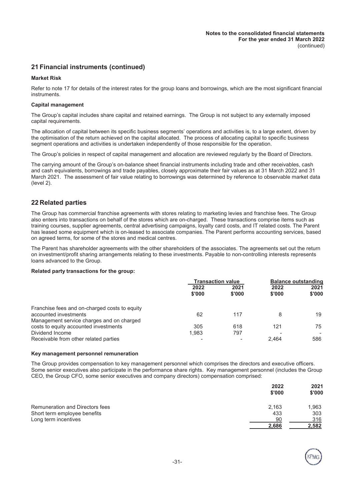# **21 Financial instruments (continued)**

#### **Market Risk**

Refer to note 17 for details of the interest rates for the group loans and borrowings, which are the most significant financial instruments.

#### **Capital management**

The Group's capital includes share capital and retained earnings. The Group is not subject to any externally imposed capital requirements.

The allocation of capital between its specific business segments' operations and activities is, to a large extent, driven by the optimisation of the return achieved on the capital allocated. The process of allocating capital to specific business segment operations and activities is undertaken independently of those responsible for the operation.

The Group's policies in respect of capital management and allocation are reviewed regularly by the Board of Directors.

The carrying amount of the Group's on-balance sheet financial instruments including trade and other receivables, cash and cash equivalents, borrowings and trade payables, closely approximate their fair values as at 31 March 2022 and 31 March 2021. The assessment of fair value relating to borrowings was determined by reference to observable market data (level 2).

# **22 Related parties**

The Group has commercial franchise agreements with stores relating to marketing levies and franchise fees. The Group also enters into transactions on behalf of the stores which are on-charged. These transactions comprise items such as training courses, supplier agreements, central advertising campaigns, loyalty card costs, and IT related costs. The Parent has leased some equipment which is on-leased to associate companies. The Parent performs accounting services, based on agreed terms, for some of the stores and medical centres.

The Parent has shareholder agreements with the other shareholders of the associates. The agreements set out the return on investment/profit sharing arrangements relating to these investments. Payable to non-controlling interests represents loans advanced to the Group.

#### **Related party transactions for the group:**

|                                               | <b>Transaction value</b> |                | <b>Balance outstanding</b> |                |
|-----------------------------------------------|--------------------------|----------------|----------------------------|----------------|
|                                               | 2022<br>\$'000           | 2021<br>\$'000 | 2022<br>\$'000             | 2021<br>\$'000 |
| Franchise fees and on-charged costs to equity |                          |                |                            |                |
| accounted investments                         | 62                       | 117            | 8                          | 19             |
| Management service charges and on charged     |                          |                |                            |                |
| costs to equity accounted investments         | 305                      | 618            | 121                        | 75             |
| Dividend Income                               | 1,983                    | 797            |                            |                |
| Receivable from other related parties         |                          |                | 2.464                      | 586            |

#### **Key management personnel remuneration**

The Group provides compensation to key management personnel which comprises the directors and executive officers. Some senior executives also participate in the performance share rights. Key management personnel (includes the Group CEO, the Group CFO, some senior executives and company directors) compensation comprised:

|                                        | 2022<br>\$'000 | 2021<br>\$'000 |
|----------------------------------------|----------------|----------------|
| <b>Remuneration and Directors fees</b> | 2.163          | 1,963          |
| Short term employee benefits           | 433            | 303            |
| Long term incentives                   | 90             | 316            |
|                                        | 2,686          | 2,582          |